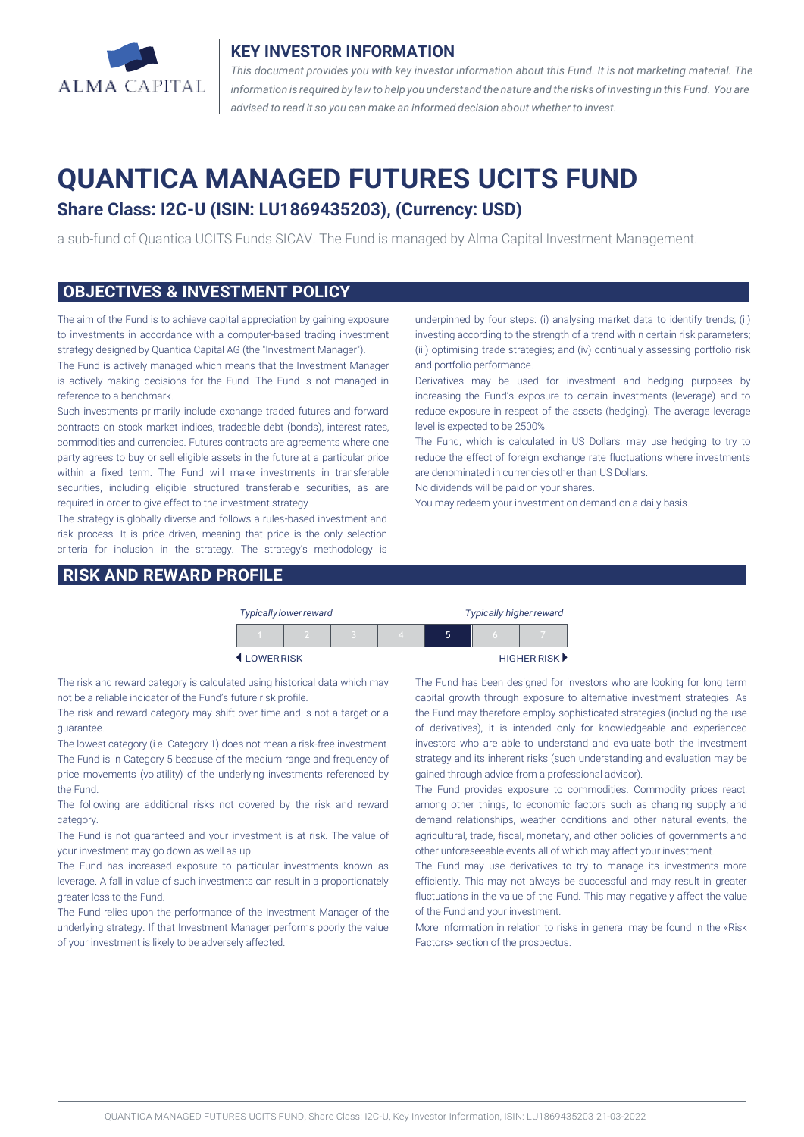

#### **KEY INVESTOR INFORMATION**

*This document provides you with key investor information about this Fund. It is not marketing material. The* information is required by law to help you understand the nature and the risks of investing in this Fund. You are *advised to read it so you can make an informed decision about whether to invest.*

# **QUANTICA MANAGED FUTURES UCITS FUND**

## **Share Class: I2C-U (ISIN: LU1869435203), (Currency: USD)**

a sub-fund of Quantica UCITS Funds SICAV. The Fund is managed by Alma Capital Investment Management.

#### **OBJECTIVES & INVESTMENT POLICY**

The aim of the Fund is to achieve capital appreciation by gaining exposure to investments in accordance with a computer-based trading investment strategy designed by Quantica Capital AG (the "Investment Manager").

The Fund is actively managed which means that the Investment Manager is actively making decisions for the Fund. The Fund is not managed in reference to a benchmark.

Such investments primarily include exchange traded futures and forward contracts on stock market indices, tradeable debt (bonds), interest rates, commodities and currencies. Futures contracts are agreements where one party agrees to buy or sell eligible assets in the future at a particular price within a fixed term. The Fund will make investments in transferable securities, including eligible structured transferable securities, as are required in order to give effect to the investment strategy.

The strategy is globally diverse and follows a rules-based investment and risk process. It is price driven, meaning that price is the only selection criteria for inclusion in the strategy. The strategy's methodology is

#### **RISK AND REWARD PROFILE**

underpinned by four steps: (i) analysing market data to identify trends; (ii) investing according to the strength of a trend within certain risk parameters; (iii) optimising trade strategies; and (iv) continually assessing portfolio risk and portfolio performance.

Derivatives may be used for investment and hedging purposes by increasing the Fund's exposure to certain investments (leverage) and to reduce exposure in respect of the assets (hedging). The average leverage level is expected to be 2500%.

The Fund, which is calculated in US Dollars, may use hedging to try to reduce the effect of foreign exchange rate fluctuations where investments are denominated in currencies other than US Dollars.

No dividends will be paid on your shares.

You may redeem your investment on demand on a daily basis.

|           | <b>Typically lower reward</b> |  | <b>Typically higher reward</b> |                             |          |  |
|-----------|-------------------------------|--|--------------------------------|-----------------------------|----------|--|
|           |                               |  |                                | ּ                           | $\Gamma$ |  |
| LOWERRISK |                               |  |                                | HIGHER RISK <sup>&gt;</sup> |          |  |

The risk and reward category is calculated using historical data which may not be a reliable indicator of the Fund's future risk profile.

The risk and reward category may shift over time and is not a target or a guarantee.

The lowest category (i.e. Category 1) does not mean a risk-free investment. The Fund is in Category 5 because of the medium range and frequency of price movements (volatility) of the underlying investments referenced by the Fund.

The following are additional risks not covered by the risk and reward category.

The Fund is not guaranteed and your investment is at risk. The value of your investment may go down as well as up.

The Fund has increased exposure to particular investments known as leverage. A fall in value of such investments can result in a proportionately greater loss to the Fund.

The Fund relies upon the performance of the Investment Manager of the underlying strategy. If that Investment Manager performs poorly the value of your investment is likely to be adversely affected.

The Fund has been designed for investors who are looking for long term capital growth through exposure to alternative investment strategies. As the Fund may therefore employ sophisticated strategies (including the use of derivatives), it is intended only for knowledgeable and experienced investors who are able to understand and evaluate both the investment strategy and its inherent risks (such understanding and evaluation may be gained through advice from a professional advisor).

The Fund provides exposure to commodities. Commodity prices react, among other things, to economic factors such as changing supply and demand relationships, weather conditions and other natural events, the agricultural, trade, fiscal, monetary, and other policies of governments and other unforeseeable events all of which may affect your investment.

The Fund may use derivatives to try to manage its investments more efficiently. This may not always be successful and may result in greater fluctuations in the value of the Fund. This may negatively affect the value of the Fund and your investment.

More information in relation to risks in general may be found in the «Risk Factors» section of the prospectus.